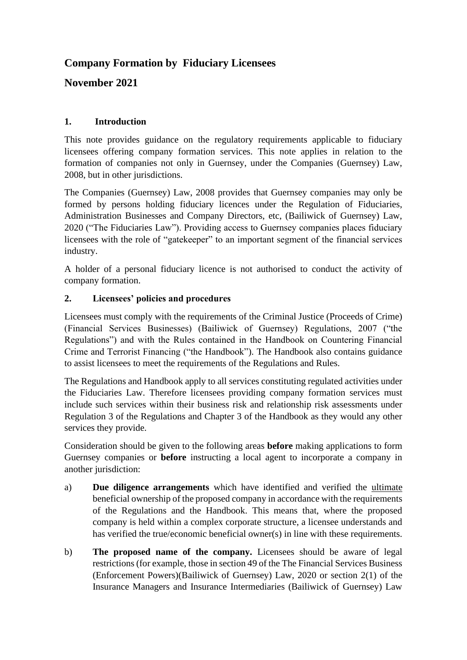# **Company Formation by Fiduciary Licensees**

**November 2021**

# **1. Introduction**

This note provides guidance on the regulatory requirements applicable to fiduciary licensees offering company formation services. This note applies in relation to the formation of companies not only in Guernsey, under the Companies (Guernsey) Law, 2008, but in other jurisdictions.

The Companies (Guernsey) Law, 2008 provides that Guernsey companies may only be formed by persons holding fiduciary licences under the Regulation of Fiduciaries, Administration Businesses and Company Directors, etc, (Bailiwick of Guernsey) Law, 2020 ("The Fiduciaries Law"). Providing access to Guernsey companies places fiduciary licensees with the role of "gatekeeper" to an important segment of the financial services industry.

A holder of a personal fiduciary licence is not authorised to conduct the activity of company formation.

# **2. Licensees' policies and procedures**

Licensees must comply with the requirements of the Criminal Justice (Proceeds of Crime) (Financial Services Businesses) (Bailiwick of Guernsey) Regulations, 2007 ("the Regulations") and with the Rules contained in the Handbook on Countering Financial Crime and Terrorist Financing ("the Handbook"). The Handbook also contains guidance to assist licensees to meet the requirements of the Regulations and Rules.

The Regulations and Handbook apply to all services constituting regulated activities under the Fiduciaries Law. Therefore licensees providing company formation services must include such services within their business risk and relationship risk assessments under Regulation 3 of the Regulations and Chapter 3 of the Handbook as they would any other services they provide.

Consideration should be given to the following areas **before** making applications to form Guernsey companies or **before** instructing a local agent to incorporate a company in another jurisdiction:

- a) **Due diligence arrangements** which have identified and verified the ultimate beneficial ownership of the proposed company in accordance with the requirements of the Regulations and the Handbook. This means that, where the proposed company is held within a complex corporate structure, a licensee understands and has verified the true/economic beneficial owner(s) in line with these requirements.
- b) **The proposed name of the company.** Licensees should be aware of legal restrictions (for example, those in section 49 of the The Financial Services Business (Enforcement Powers)(Bailiwick of Guernsey) Law, 2020 or section 2(1) of the Insurance Managers and Insurance Intermediaries (Bailiwick of Guernsey) Law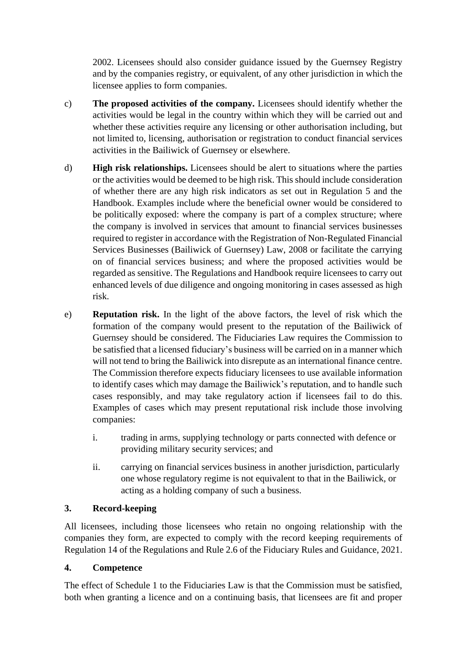2002. Licensees should also consider guidance issued by the Guernsey Registry and by the companies registry, or equivalent, of any other jurisdiction in which the licensee applies to form companies.

- c) **The proposed activities of the company.** Licensees should identify whether the activities would be legal in the country within which they will be carried out and whether these activities require any licensing or other authorisation including, but not limited to, licensing, authorisation or registration to conduct financial services activities in the Bailiwick of Guernsey or elsewhere.
- d) **High risk relationships.** Licensees should be alert to situations where the parties or the activities would be deemed to be high risk. This should include consideration of whether there are any high risk indicators as set out in Regulation 5 and the Handbook. Examples include where the beneficial owner would be considered to be politically exposed: where the company is part of a complex structure; where the company is involved in services that amount to financial services businesses required to register in accordance with the Registration of Non-Regulated Financial Services Businesses (Bailiwick of Guernsey) Law, 2008 or facilitate the carrying on of financial services business; and where the proposed activities would be regarded as sensitive. The Regulations and Handbook require licensees to carry out enhanced levels of due diligence and ongoing monitoring in cases assessed as high risk.
- e) **Reputation risk.** In the light of the above factors, the level of risk which the formation of the company would present to the reputation of the Bailiwick of Guernsey should be considered. The Fiduciaries Law requires the Commission to be satisfied that a licensed fiduciary's business will be carried on in a manner which will not tend to bring the Bailiwick into disrepute as an international finance centre. The Commission therefore expects fiduciary licensees to use available information to identify cases which may damage the Bailiwick's reputation, and to handle such cases responsibly, and may take regulatory action if licensees fail to do this. Examples of cases which may present reputational risk include those involving companies:
	- i. trading in arms, supplying technology or parts connected with defence or providing military security services; and
	- ii. carrying on financial services business in another jurisdiction, particularly one whose regulatory regime is not equivalent to that in the Bailiwick, or acting as a holding company of such a business.

### **3. Record-keeping**

All licensees, including those licensees who retain no ongoing relationship with the companies they form, are expected to comply with the record keeping requirements of Regulation 14 of the Regulations and Rule 2.6 of the Fiduciary Rules and Guidance, 2021.

### **4. Competence**

The effect of Schedule 1 to the Fiduciaries Law is that the Commission must be satisfied, both when granting a licence and on a continuing basis, that licensees are fit and proper